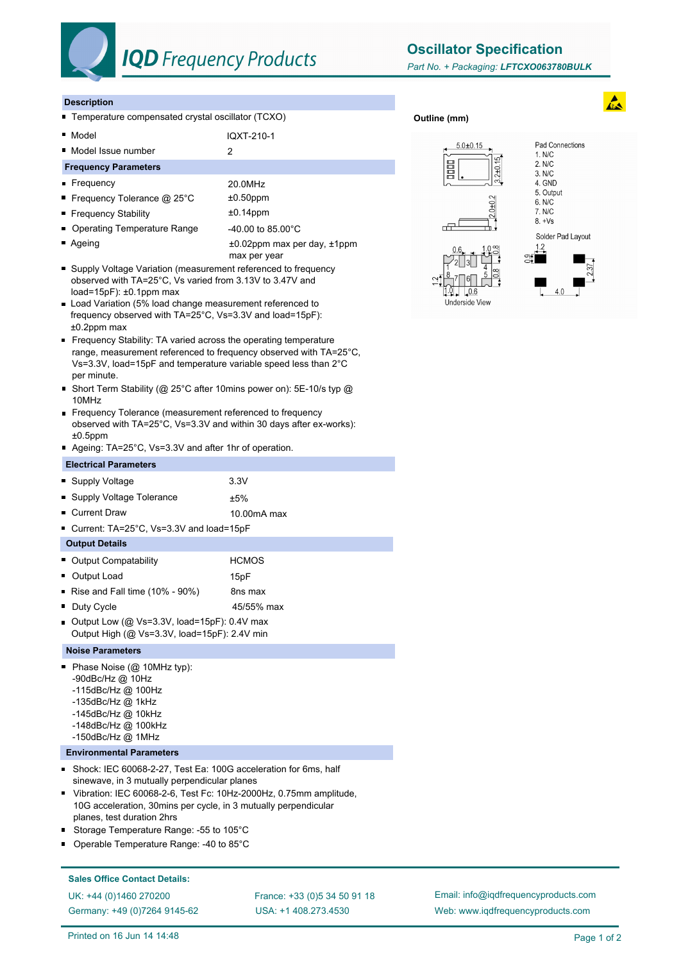

# **IQD** Frequency Products

**Oscillator Specification**

**Outline (mm)**

#### **Description**

■ Temperature compensated crystal oscillator (TCXO)

■ Model IQXT-210-1

■ Model Issue number 2

### **Frequency Parameters**

- Frequency 20.0MHz
- Frequency Tolerance @ 25°C  $\pm 0.50$ ppm
- Frequency Stability **to the state of the state of the state of the state of the state of the state of the state of the state of the state of the state of the state of the state of the state of the state of the state of**
- Operating Temperature Range 40.00 to 85.00°C
- Ageing the according to the top of the 40.02ppm max per day, ±1ppm
- max per year ■ Supply Voltage Variation (measurement referenced to frequency observed with TA=25°C, Vs varied from 3.13V to 3.47V and load=15pF): ±0.1ppm max
- Load Variation (5% load change measurement referenced to frequency observed with TA=25°C, Vs=3.3V and load=15pF): ±0.2ppm max
- Frequency Stability: TA varied across the operating temperature range, measurement referenced to frequency observed with TA=25°C, Vs=3.3V, load=15pF and temperature variable speed less than 2°C per minute.
- Short Term Stability (@ 25°C after 10mins power on): 5E-10/s typ @ 10MHz
- **Frequency Tolerance (measurement referenced to frequency** observed with TA=25°C, Vs=3.3V and within 30 days after ex-works):  $±0.5$ ppm
- Ageing: TA=25°C, Vs=3.3V and after 1hr of operation.

### **Electrical Parameters**

- Supply Voltage 3.3V  $\blacksquare$  Supply Voltage Tolerance  $\blacksquare$ ■ Current Draw 10.00mA max Current: TA=25°C, Vs=3.3V and load=15pF **Output Details Dutput Compatability HCMOS**
- Output Load 15pF Rise and Fall time (10% - 90%) 8ns max
- Duty Cycle **150 a.m.** 45/55% max
- Output Low (@ Vs=3.3V, load=15pF): 0.4V max Output High (@ Vs=3.3V, load=15pF): 2.4V min

#### **Noise Parameters**

- Phase Noise (@ 10MHz typ):
	- -90dBc/Hz @ 10Hz
	- -115dBc/Hz @ 100Hz
	- -135dBc/Hz @ 1kHz
	- -145dBc/Hz @ 10kHz
	- -148dBc/Hz @ 100kHz
	- -150dBc/Hz @ 1MHz

## **Environmental Parameters**

- Shock: IEC 60068-2-27, Test Ea: 100G acceleration for 6ms, half × sinewave, in 3 mutually perpendicular planes
- Vibration: IEC 60068-2-6, Test Fc: 10Hz-2000Hz, 0.75mm amplitude, 10G acceleration, 30mins per cycle, in 3 mutually perpendicular planes, test duration 2hrs
- Storage Temperature Range: -55 to 105°C
- Operable Temperature Range: -40 to 85°C

#### **Sales Office Contact Details:**

UK: +44 (0)1460 270200 France: +33 (0)5 34 50 91 18 Germany: +49 (0)7264 9145-62

USA: +1 408.273.4530

Email: info@iqdfrequencyproducts.com Web: www.iqdfrequencyproducts.com